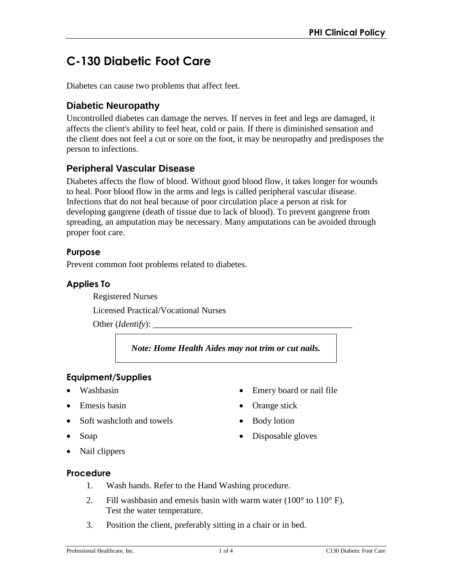# **C-130 Diabetic Foot Care**

Diabetes can cause two problems that affect feet.

## **Diabetic Neuropathy**

Uncontrolled diabetes can damage the nerves. If nerves in feet and legs are damaged, it affects the client's ability to feel heat, cold or pain. If there is diminished sensation and the client does not feel a cut or sore on the foot, it may be neuropathy and predisposes the person to infections.

## **Peripheral Vascular Disease**

Diabetes affects the flow of blood. Without good blood flow, it takes longer for wounds to heal. Poor blood flow in the arms and legs is called peripheral vascular disease. Infections that do not heal because of poor circulation place a person at risk for developing gangrene (death of tissue due to lack of blood). To prevent gangrene from spreading, an amputation may be necessary. Many amputations can be avoided through proper foot care.

### **Purpose**

Prevent common foot problems related to diabetes.

### **Applies To**

Registered Nurses

Licensed Practical/Vocational Nurses

Other (*Identify*):

*Note: Home Health Aides may not trim or cut nails.*

• Emery board or nail file

• Orange stick

• Body lotion

• Disposable gloves

### **Equipment/Supplies**

- Washbasin
- Emesis basin
- Soft washcloth and towels
- Soap
- Nail clippers

# **Procedure**

- 1. Wash hands. Refer to the Hand Washing procedure.
- 2. Fill washbasin and emesis basin with warm water  $(100^{\circ}$  to  $110^{\circ}$  F). Test the water temperature.
- 3. Position the client, preferably sitting in a chair or in bed.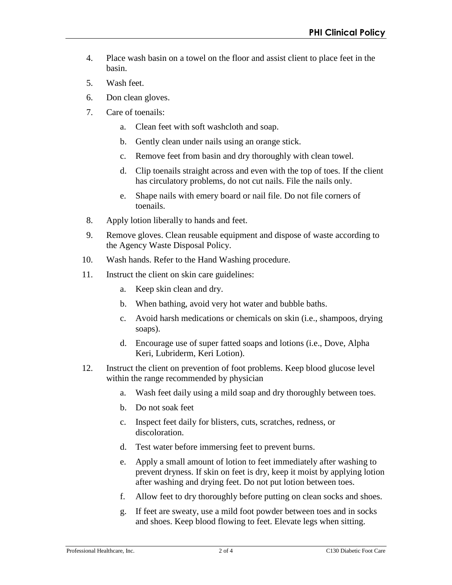- 4. Place wash basin on a towel on the floor and assist client to place feet in the basin.
- 5. Wash feet.
- 6. Don clean gloves.
- 7. Care of toenails:
	- a. Clean feet with soft washcloth and soap.
	- b. Gently clean under nails using an orange stick.
	- c. Remove feet from basin and dry thoroughly with clean towel.
	- d. Clip toenails straight across and even with the top of toes. If the client has circulatory problems, do not cut nails. File the nails only.
	- e. Shape nails with emery board or nail file. Do not file corners of toenails.
- 8. Apply lotion liberally to hands and feet.
- 9. Remove gloves. Clean reusable equipment and dispose of waste according to the Agency Waste Disposal Policy.
- 10. Wash hands. Refer to the Hand Washing procedure.
- 11. Instruct the client on skin care guidelines:
	- a. Keep skin clean and dry.
	- b. When bathing, avoid very hot water and bubble baths.
	- c. Avoid harsh medications or chemicals on skin (i.e., shampoos, drying soaps).
	- d. Encourage use of super fatted soaps and lotions (i.e., Dove, Alpha Keri, Lubriderm, Keri Lotion).
- 12. Instruct the client on prevention of foot problems. Keep blood glucose level within the range recommended by physician
	- a. Wash feet daily using a mild soap and dry thoroughly between toes.
	- b. Do not soak feet
	- c. Inspect feet daily for blisters, cuts, scratches, redness, or discoloration.
	- d. Test water before immersing feet to prevent burns.
	- e. Apply a small amount of lotion to feet immediately after washing to prevent dryness. If skin on feet is dry, keep it moist by applying lotion after washing and drying feet. Do not put lotion between toes.
	- f. Allow feet to dry thoroughly before putting on clean socks and shoes.
	- g. If feet are sweaty, use a mild foot powder between toes and in socks and shoes. Keep blood flowing to feet. Elevate legs when sitting.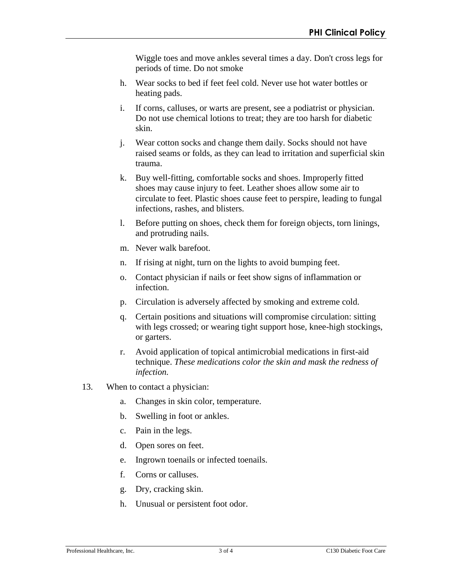Wiggle toes and move ankles several times a day. Don't cross legs for periods of time. Do not smoke

- h. Wear socks to bed if feet feel cold. Never use hot water bottles or heating pads.
- i. If corns, calluses, or warts are present, see a podiatrist or physician. Do not use chemical lotions to treat; they are too harsh for diabetic skin.
- j. Wear cotton socks and change them daily. Socks should not have raised seams or folds, as they can lead to irritation and superficial skin trauma.
- k. Buy well-fitting, comfortable socks and shoes. Improperly fitted shoes may cause injury to feet. Leather shoes allow some air to circulate to feet. Plastic shoes cause feet to perspire, leading to fungal infections, rashes, and blisters.
- l. Before putting on shoes, check them for foreign objects, torn linings, and protruding nails.
- m. Never walk barefoot.
- n. If rising at night, turn on the lights to avoid bumping feet.
- o. Contact physician if nails or feet show signs of inflammation or infection.
- p. Circulation is adversely affected by smoking and extreme cold.
- q. Certain positions and situations will compromise circulation: sitting with legs crossed; or wearing tight support hose, knee-high stockings, or garters.
- r. Avoid application of topical antimicrobial medications in first-aid technique. *These medications color the skin and mask the redness of infection.*
- 13. When to contact a physician:
	- a. Changes in skin color, temperature.
	- b. Swelling in foot or ankles.
	- c. Pain in the legs.
	- d. Open sores on feet.
	- e. Ingrown toenails or infected toenails.
	- f. Corns or calluses.
	- g. Dry, cracking skin.
	- h. Unusual or persistent foot odor.